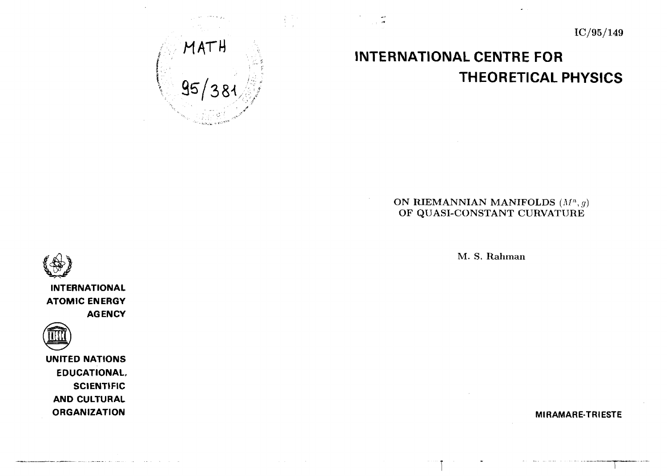

# **INTERNATIONAL CENTRE FOR THEORETICAL PHYSICS**

÷.

ON RIEMANNIAN MANIFOLDS *{M<sup>n</sup> ,g)* OF QUASI-CONSTANT CURVATURE

M. S. Rahman





**UNITED NATIONS EDUCATIONAL, SCIENTIFIC AND CULTURAL ORGANIZATION**

**MIRAMARE-TRIESTE**

IC/95/149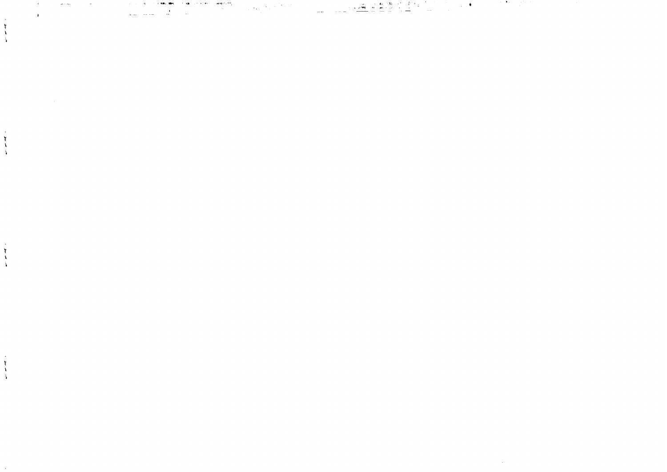ം പ്രകാരം കാര്യം കാര്യം കാ<del>രക്കോ ശാസ്ത്രങ്ങളുടെ പ്രകാരം കാര്യം കാര്യങ്ങളുടെ കാര്യം നിര്ദ്ദേശ കാര്യം കാര്യങ്ങളില്<br>അതിന്റെ കാര്യം കാര്യം കാര്യം കാര്യം കാര്യം കാര്യം കാര്യം കാര്യം കാര്യം കാര്യം കാര്യം കാര്യം കാര്യം കാര്യം ക</del>

 $\begin{array}{c} \dot{\gamma} \\ \dot{\gamma} \\ \dot{\gamma} \\ \dot{\gamma} \end{array}$ 

 $\begin{array}{c} \mathbf{1} \\ \mathbf{1} \\ \mathbf{1} \\ \mathbf{1} \end{array}$ 

 $\sim$ 

 $\label{eq:2.1} \mathcal{L}(\mathcal{L}^{\mathcal{L}}_{\mathcal{L}}(\mathcal{L}^{\mathcal{L}}_{\mathcal{L}})) = \mathcal{L}(\mathcal{L}^{\mathcal{L}}_{\mathcal{L}}(\mathcal{L}^{\mathcal{L}}_{\mathcal{L}})) = \mathcal{L}(\mathcal{L}^{\mathcal{L}}_{\mathcal{L}}(\mathcal{L}^{\mathcal{L}}_{\mathcal{L}}))$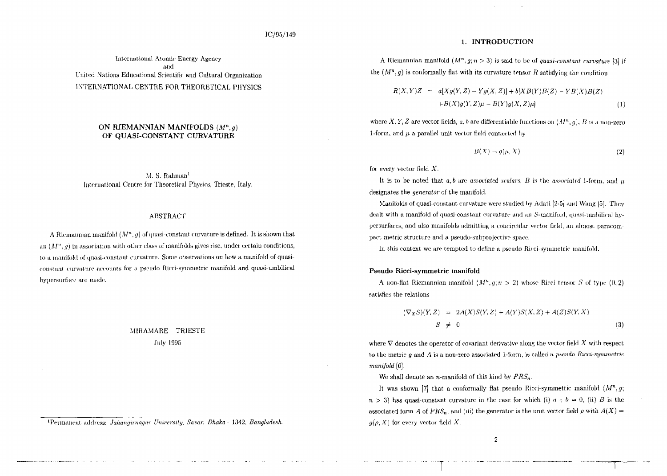# IC/95/149

International Atomic Energy Agency and United Nations Educational Scientific and Cultural Organization INTERNATIONAL CENTRE FOR THEORETICAL PHYSICS

# **ON RIEMANNIAN MANIFOLDS** *(M<sup>n</sup> ,g)* **OF QUASI-CONSTANT CURVATURE**

 $M. S.$  Rahman<sup>1</sup> International Centre for Theoretical Physics, Trieste, Italy.

#### ABSTRACT

A Riemannian manifold  $(M^n,g)$  of quasi-constant curvature is defined. It is shown that an *(M", g)* in association with other class of manifolds gives rise, under certain conditions, to a manifold of quasi-constant curvature. Some observations on how a manifold of quasiconstaiit curvature accounts for a pseudo Ricci-symmetric manifold and quasi-umbilical hypersurface arc. made.

# MIRAMARE • TRIESTE July 1995

'Permanent address: *Jahangimagar University, Savor, Dhaka-* 1342, *Bangladesh.*

#### **1. INTRODUCTION**

A Riemannian manifold  $(M^n, q, n > 3)$  is said to be of *guasi-constant curvature* [3] if the  $(M^n, q)$  is conformally flat with its curvature tensor R satisfying the condition

$$
R(X,Y)Z = a[Xg(Y,Z) - Yg(X,Z)] + b[XB(Y)B(Z) - YB(X)B(Z) + B(X)g(Y,Z)\mu - B(Y)g(X,Z)\mu]
$$
\n(1)

where X, Y, Z are vector fields, a, b are differentiable functions on  $(M^n, q)$ , B is a non-zero 1-form, and  $\mu$  a parallel unit vector field connected by

$$
B(X) = g(\mu, X) \tag{2}
$$

for every vector field *X.*

It is to be noted that  $a, b$  are associated scalars,  $B$  is the associated 1-form, and  $\mu$ designates the *generator* of the manifold.

Manifolds of quasi-constant curvature were studied by Adati [2-5] and Wang [5], They dealt with a manifold of quasi-constant curvature and an  $S$ -manifold, quasi-umbilical hypersurfaces, and also manifolds admitting a concircular vector field, an almost, paracompact metric structure and a pseudo-subprojective space.

In this context we are tempted to define a pseudo Ricci-symmetric manifold.

#### **Pseudo Ricci-symmetric manifold**

A non-flat Riemannian manifold  $(M^n, q; n > 2)$  whose Ricci tensor S of type (0, 2) satisfies the relations

$$
(\nabla_X S)(Y, Z) = 2A(X)S(Y, Z) + A(Y)S(X, Z) + A(Z)S(Y, X)
$$
  

$$
S \neq 0
$$
 (3)

where  $\nabla$  denotes the operator of covariant derivative along the vector field  $X$  with respect to (he metric *g* and *A* is a non-zero associated 1-form, is called a *pseudo Ricei-symmetric manifold* [6].

We shall denote an n-manifold of this kind by *PRSn.*

It was shown [7] that a conformally flat pseudo Ricci-symmetric manifold  $(M^n, g;$  $n > 3$ ) has quasi-constant curvature in the case for which (i)  $a + b = 0$ , (ii) *B* is the associated form A of  $PRS_n$ , and (iii) the generator is the unit vector field  $\rho$  with  $A(X) =$  $g(\rho, X)$  for every vector field X.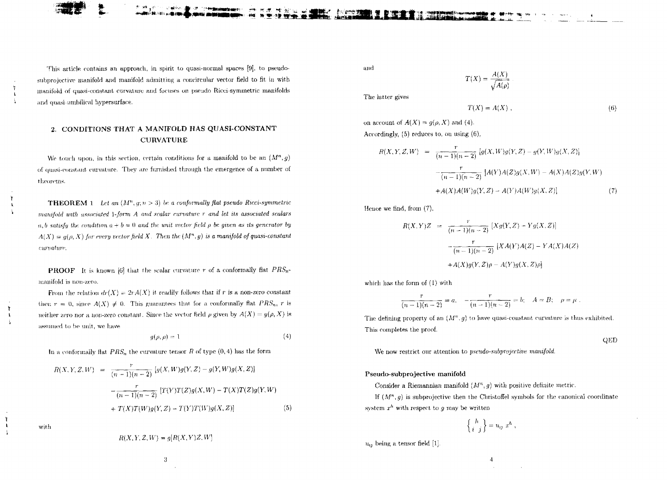

 $\mathbf{t}$ 

This article contains an approach, in spirit to quasi-normal spaces [9], to pseudosubprojective manifold and manifold admitting a concircular vector field to fit in with manifold of quasi-constant curvature and focuses on pseudo Ricci-syminetric manifolds and quasi-umbilical hypersurface.

# **2. CONDITIONS THAT A MANIFOLD HAS QUASI-CONSTANT CURVATURE**

We touch upon, in this section, certain conditions for a manifold to be an  $(M^n, g)$ of quasi-constant curvature. They are furnished through the emergence of a number of theorems.

**THEOREM 1** Let an  $(M^n, g; n > 3)$  be a conformally flat pseudo Ricci-symmetric *manifold with associated \-form A and scalar curvature r and let. its associated scalars*  $a, b$  satisfy the condition  $a + b = 0$  and the unit vector field  $\rho$  be given as its generator by  $A(X) = g(\rho, X)$  for every vector field X. Then the  $(M^n, g)$  is a manifold of quasi-constant *curvature-.*

**PROOF** It is known [6] that the scalar curvature r of a conformally flat  $PRS_n$ manifold is non-zero.

From the relation  $dr(X) = 2rA(X)$  it readily follows that if r is a non-zero constant then  $r = 0$ , since  $A(X) \neq 0$ . This guarantees that for a conformally flat  $PRS_n$ , r is neither zero nor a non-zero constant. Since the vector field  $\rho$  given by  $A(X) = g(\rho, X)$  is assumed to be unit, we have

$$
g(\rho, \rho) = 1 \tag{4}
$$

In a confonnally Hat *PRSn* the curvature tensor *R* of type (0, 4) has the form

$$
R(X, Y, Z, W) = \frac{r}{(n-1)(n-2)} [g(X, W)g(Y, Z) - g(Y, W)g(X, Z)]
$$
  

$$
-\frac{r}{(n-1)(n-2)} [T(Y)T(Z)g(X, W) - T(X)T(Z)g(Y, W)]
$$
  

$$
+ T(X)T(W)g(Y, Z) - T(Y)T(W)g(X, Z)]
$$
(5)

with

 $\mathbf{k}$ 

$$
R(X, Y, Z, W) = g[R(X, Y)Z, W]
$$

 $\cdot$ 3

and

お母の問題

The latter gives

$$
T(X) = A(X) \tag{6}
$$

on account of  $A(X) = g(\rho, X)$  and (4). Accordingly, (5) reduces to, on using (6),

LE 19 - THE RESEARCH

$$
R(X,Y,Z,W) = \frac{r}{(n-1)(n-2)} [g(X,W)g(Y,Z) - g(Y,W)g(X,Z)]
$$
  

$$
-\frac{r}{(n-1)(n-2)} [A(Y)A(Z)g(X,W) - A(X)A(Z)g(Y,W)
$$
  

$$
+A(X)A(W)g(Y,Z) - A(Y)A(W)g(X,Z)]
$$
(7)

 $T(X) = \frac{A(X)}{1}$ 

Hence we find, from (7),

$$
R(X,Y)Z = \frac{r}{(n-1)(n-2)} [Xg(Y,Z) - Yg(X,Z)]
$$

$$
-\frac{r}{(n-1)(n-2)} [XA(Y)A(Z) - YA(X)A(Z) + A(X)g(Y,Z)\rho - A(Y)g(X,Z)\rho]
$$

which has the form of (1) with

$$
\frac{r}{(n-1)(n-2)} = a, \quad -\frac{r}{(n-1)(n-2)} = b; \quad A = B; \quad \rho = \mu.
$$

The defining property of an  $(M^n, g)$  to have quasi-constant curvature is thus exhibited. This completes the proof.

QED

We now restrict our attention to *pseudo-subprojective manifold*.

#### **Pseudo-subprojective manifold**

Consider a Riemannian manifold  $(M^n, g)$  with positive definite metric.

If  $(M^n, g)$  is subprojective then the Christoffel symbols for the canonical coordinate system  $x^h$  with respect to  $g$  may be written

$$
\left\{\frac{h}{i\ \ j}\right\} = u_{ij}\ x^h
$$

 $u_i$ , being a tensor field [1].

 $\overline{4}$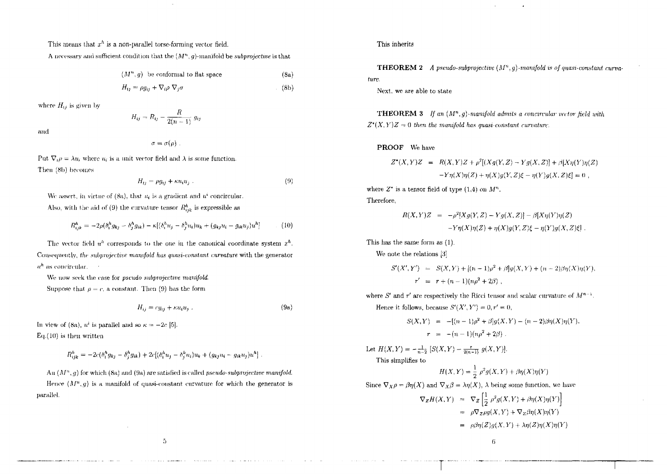This means that  $x^h$  is a non-parallel torse-forming vector field.

A necessary and sufficient condition that the  $(M^n, q)$ -manifold be *subprojective* is that

 $(M^n, q)$  be conformal to flat space (8a)

$$
H_{ij} = \rho g_{ij} + \nabla_i \rho \nabla_j \sigma \tag{8b}
$$

where  $H_i$  is given by

$$
H_{ij}=R_{ij}-\frac{R}{2(n-1)}\;g_{ij}
$$

and

$$
\sigma = \sigma(\rho) \; .
$$

Put  $\nabla_i \rho = \lambda u_i$ , where  $u_i$  is a unit vector field and  $\lambda$  is some function. Then (8b) becomes

$$
H_{ij} = \rho g_{ij} + \kappa u_i u_j \tag{9}
$$

We assert, in virtue of  $(8a)$ , that  $u_i$  is a gradient and  $u^i$  concircular. Also, with the aid of (9) the curvature tensor  $R_{ijk}^h$  is expressible as

$$
B_{ijk}^{h} = -2\rho(\delta_{i}^{h}g_{kj} - \delta_{j}^{h}g_{ik}) - \kappa[(\delta_{i}^{h}u_{j} - \delta_{j}^{h}u_{i})u_{k} + (g_{kj}u_{i} - g_{ik}u_{j})u^{h}] \tag{10}
$$

The vector field  $u^h$  corresponds to the one in the canonical coordinate system  $x^h$ . Consequently, *the subprojective manifold has quasi-constant curvature* with the generator  $u^h$  as concircular.

We now seek the case for *pscudo subprojective manifold*. Suppose that  $\rho = c$ , a constant. Then (9) has the form

$$
H_{ij} = cg_{ij} + \kappa u_i u_j \tag{9a}
$$

In view of (8a),  $u^i$  is parallel and so  $\kappa = -2c$  [5]. Eq.(lO) is then written

$$
R_{ijk}^{h} = -2c(\delta_{i}^{h} g_{kj} - \delta_{j}^{h} g_{ik}) + 2c[(\delta_{i}^{h} u_{j} - \delta_{j}^{h} u_{i})u_{k} + (g_{kj} u_{i} - g_{ik} u_{j})u^{h}].
$$

An  $(M^n, q)$  for which (8a) and (9a) are satisfied is called *pseudo-subprojective manifold.* Hence  $(M^n, g)$  is a manifold of quasi-constant curvature for which the generator is parallel.

#### This inherits

THEOREM 2 *A pseudo-subprojective (M",g) -manifold is of quasi-constant curvature.*

Next, we are able to state

THEOREM 3 *If an (M",g)-manifold admits a conavcular vector field with*  $Z^*(X, Y)Z = 0$  then the manifold has quasi-constant curvature.

PROOF We have

$$
Z^*(X,Y)Z = R(X,Y)Z + \rho^2[(Xg(Y,Z) - Yg(X,Z)] + \beta[X\eta(Y)\eta(Z) - Y\eta(X)\eta(Z) + \eta(X)g(Y,Z)\xi - \eta(Y)g(X,Z)\xi] = 0,
$$

where  $Z^*$  is a tensor field of type  $(1,4)$  on  $M^n$ .

Therefore,

$$
R(X,Y)Z = -\rho^2[Xg(Y,Z) - Yg(X,Z)] - \beta[X\eta(Y)\eta(Z) - Y\eta(X)\eta(Z) + \eta(X)g(Y,Z)\xi - \eta(Y)g(X,Z)\xi].
$$

This has the same form as (1).

We note the relations [3]

$$
S'(X', Y') = S(X, Y) + [(n - 1)\rho^2 + \beta]g(X, Y) + (n - 2)\beta\eta(X)\eta(Y),
$$
  
\n
$$
r' = r + (n - 1)(n\rho^2 + 2\beta) ,
$$

where S' and r' are respectively the Ricci tensor and scalar curvature of  $M^{n-1}$ . Hence it follows, because  $S'(X', Y') = 0, r' = 0$ ,

$$
\begin{array}{rcl} S(X,Y) & = & -[(n-1)\rho^2+\beta]g(X,Y)-(n-2)\beta\eta(X)\eta(Y),\\[2mm] & & r & = & -(n-1)(n\rho^2+2\beta)\ . \end{array}
$$

Let  $H(X,Y) = -\frac{1}{n-2} [S(X,Y) - \frac{r}{2(n-1)} g(X,Y)].$ This simplifies to

 $\mathbf{I}$ 

$$
H(X,Y) = \frac{1}{2} \rho^2 g(X,Y) + \beta \eta(X)\eta(Y)
$$

Since  $\nabla_X \rho = \beta \eta(X)$  and  $\nabla_X \beta = \lambda \eta(X)$ ,  $\lambda$  being some function, we have

$$
\nabla_Z H(X, Y) = \nabla_Z \left[ \frac{1}{2} \rho^2 g(X, Y) + \beta \eta(X) \eta(Y) \right]
$$
  
\n
$$
= \rho \nabla_Z \rho g(X, Y) + \nabla_Z \beta \eta(X) \eta(Y)
$$
  
\n
$$
= \rho \beta \eta(Z) g(X, Y) + \lambda \eta(Z) \eta(X) \eta(Y)
$$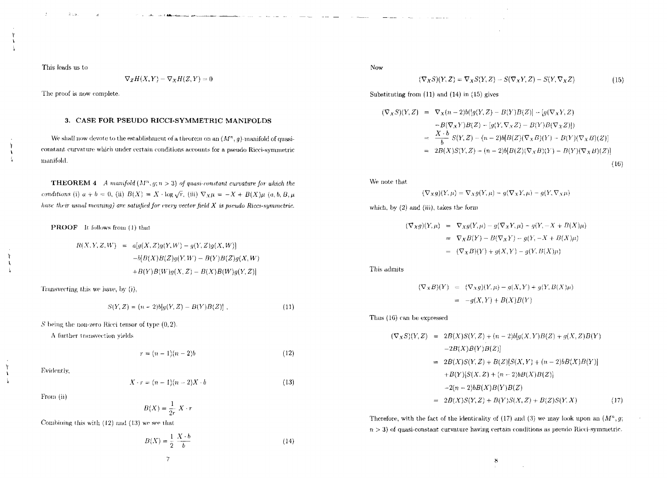**This** leads us to

 $\nabla_Z H(X,Y) - \nabla_X H(Z,Y) = 0$ 

The proof is now complete.

## **3. CASE FOR PSEUDO RICCI-SYMMETRIC MANIFOLDS**

We shall now devote to the establishment of a theorem on an  $(M^n, g)$ -manifold of quasiconstant curvature which under certain conditions accounts for a pseudo Ricci-symmetric manifold.

**THEOREM 4** A manifold  $(M^n, g; n > 3)$  of quasi-constant curvature for which the *conditions* (i)  $a + b = 0$ , (ii)  $B(X) = X \cdot \log \sqrt{r}$ , (iii)  $\nabla_X \mu = -X + B(X)\mu$  (a, b, B,  $\mu$ *have, their visual meaning) arc. satisfied for every vector field X is pseudo Ricci-symmctric.*

PROOF It follows from (1) that.

$$
R(X,Y,Z,W) = a[g(X,Z)g(Y,W) - g(Y,Z)g(X,W)]
$$
  
-
$$
-b[B(X)B(Z)g(Y,W) - B(Y)B(Z)g(X,W)
$$
  
+
$$
B(Y)B(W)g(X,Z) - B(X)B(W)g(Y,Z)]
$$

Transvecting this we have, by  $(i)$ ,

$$
S(Y, Z) = (n-2)b[g(Y, Z) - B(Y)B(Z)],
$$
\n(11)

*S* being the non-zero Ricci tensor of type  $(0,2)$ .

A further transvection yields

 $r = (n-1)(n-2)b$ (12)

Evidently,

 $\mathbf{L}$ 

 $X \cdot r = (n-1)(n-2)X \cdot b$ (13)

From (ii)

$$
B(X) = \frac{1}{2r} X
$$

 $\overline{7}$ 

 $\tau$ 

Combining this with  $(12)$  and  $(13)$  we see that

$$
B(X) = \frac{1}{2} \frac{X \cdot b}{b} \tag{14}
$$

Now

 $(\nabla_X S)(Y, Z) = \nabla_X S(Y, Z) - S(\nabla_X Y, Z) - S(Y, \nabla_X Z)$ (15)

Substituting from (11) and (14) in (15) gives

$$
(\nabla_X S)(Y, Z) = \nabla_X (n-2)b([g(Y, Z) - B(Y)B(Z)] - [g(\nabla_X Y, Z) - B(Y)B(\nabla_X Z)]
$$
  
\n
$$
-B(\nabla_X Y)B(Z) - [g(Y, \nabla_X Z) - B(Y)B(\nabla_X Z)]
$$
  
\n
$$
= \frac{X \cdot b}{b} S(Y, Z) - (n-2)b[B(Z)(\nabla_X B)(Y) - B(Y)(\nabla_X B)(Z)]
$$
  
\n
$$
= 2B(X)S(Y, Z) - (n-2)b[B(Z)(\nabla_X B)(Y) - B(Y)(\nabla_X B)(Z)]
$$
  
\n(16)

We note that

$$
(\nabla_X g)(Y, \mu) = \nabla_X g(Y, \mu) - g(\nabla_X Y, \mu) - g(Y, \nabla_X \mu)
$$

which, by (2) and (iii), takes the form

$$
(\nabla_X g)(Y,\mu) = \nabla_X g(Y,\mu) - g(\nabla_X Y,\mu) - g(Y,-X+B(X)\mu)
$$
  
= 
$$
\nabla_X B(Y) - B(\nabla_X Y) - g(Y,-X+B(X)\mu)
$$
  
= 
$$
(\nabla_X B)(Y) + g(X,Y) - g(Y,B(X)\mu)
$$

This admits

$$
(\nabla_X B)(Y) = (\nabla_X g)(Y, \mu) - g(X, Y) + g(Y, B(X)\mu)
$$
  
= -g(X, Y) + B(X)B(Y)

Thus (16) can be expressed

$$
(\nabla_X S)(Y, Z) = 2B(X)S(Y, Z) + (n-2)b[g(X, Y)B(Z) + g(X, Z)B(Y) -2B(X)B(Y)B(Z)]
$$
  
\n
$$
= 2B(X)S(Y, Z) + B(Z)[S(X, Y) + (n-2)bB(X)B(Y)]
$$
  
\n
$$
+B(Y)[S(X, Z) + (n-2)bB(X)B(Z)]
$$
  
\n
$$
-2(n-2)bB(X)B(Y)B(Z)
$$
  
\n
$$
= 2B(X)S(Y, Z) + B(Y)S(X, Z) + B(Z)S(Y, X) \qquad (17)
$$

Therefore, with the fact of the identicality of  $(17)$  and  $(3)$  we may look upon an  $(M^n, g;$  $n > 3$ ) of quasi-constant curvature having certain conditions as pseudo Ricci-symmetric.

8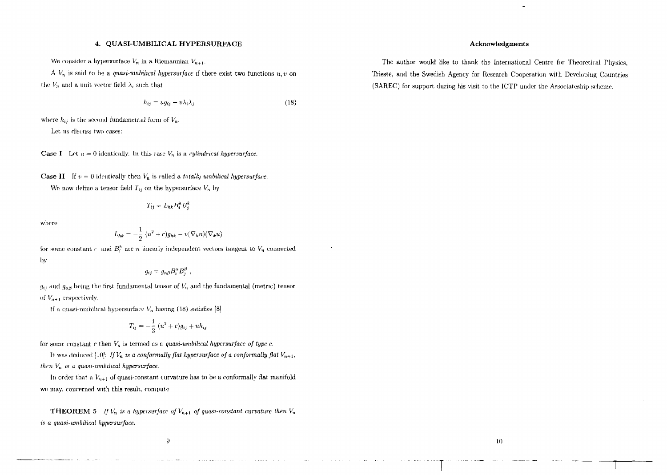#### **4. QUASI-UMBILICAL HYPERSURPACE**

We consider a hypersurface  $V_n$  in a Riemannian  $V_{n+1}$ .

A *Vn* is said to be a *quasi-umbilical hypersurface* if there exist two functions *u, v* on the  $V_n$  and a unit vector field  $\lambda_i$  such that

$$
h_{ij} = u g_{ij} + v \lambda_i \lambda_j \tag{18}
$$

where  $h_{ij}$  is the second fundamental form of  $V_n$ .

Let us discuss two cases:

**Case I** Let  $u = 0$  identically. In this case  $V_n$  is a *cylindrical hypersurface*.

**Case II** If  $v = 0$  identically then  $V_n$  is called a *totally umbilical hypersurface.* We now define a tensor field  $T_{ij}$  on the hypersurface  $V_n$  by

 $-1$ 

$$
T_{ij}=L_{hk}B_i^nB_j^n
$$

where

$$
L_{hk} = -\frac{1}{2} (u^2 + c)g_{hk} - v(\nabla_h u)(\nabla_k u)
$$

for some constant c, and  $B_i^h$  are n linearly independent vectors tangent to  $V_n$  connected by

$$
g_{ij} = g_{\alpha\beta} B_i^{\alpha} B_j^{\beta} ,
$$

 $g_{ij}$  and  $g_{\alpha\beta}$  being the first fundamental tensor of  $V_n$  and the fundamental (metric) tensor of  $V_{n+1}$  respectively.

If a quasi-umbilical hypersurface  $V_n$  having (18) satisfies [8]

$$
T_{ij} = -\frac{1}{2} (u^2 + c)g_{ij} + uh_{i}
$$

for some constant c then  $V_n$  is termed as a *quasi-umbilical hypersurface of type c*.

It was deduced [10]: If  $V_n$  is a conformally flat hypersurface of a conformally flat  $V_{n+1}$ , *fhen*  $V_n$  *is a quasi-umbilical hypersurface.* 

In order that a  $V_{n+1}$  of quasi-constant curvature has to be a conformally flat manifold we may, concerned with this result, compute

**THEOREM 5** If  $V_n$  is a hypersurface of  $V_{n+1}$  of quasi-constant curvature then  $V_n$ *is a quasi-umbilical hypersurface.*

#### **Acknowledgments**

The author would like to thank the International Centre for Theoretical Physics, Trieste, and the Swedish Agency for Research Cooperation with Developing Countries (SAREC) for support during his visit to the ICTP under the Associateship scheme.

9